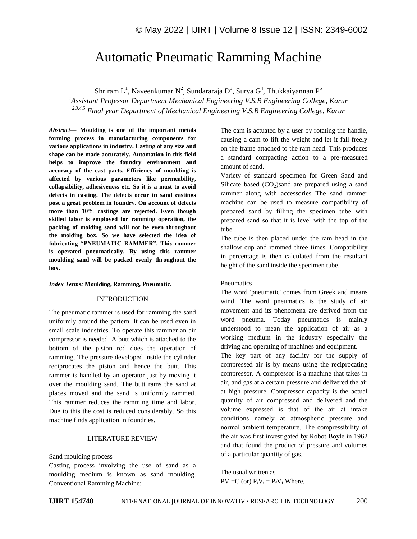# Automatic Pneumatic Ramming Machine

Shriram L<sup>1</sup>, Naveenkumar N<sup>2</sup>, Sundararaja D<sup>3</sup>, Surya G<sup>4</sup>, Thukkaiyannan P<sup>5</sup>

*<sup>1</sup>Assistant Professor Department Mechanical Engineering V.S.B Engineering College, Karur 2,3,4,5 Final year Department of Mechanical Engineering V.S.B Engineering College*, *Karur*

*Abstract—* **Moulding is one of the important metals forming process in manufacturing components for various applications in industry. Casting of any size and shape can be made accurately. Automation in this field helps to improve the foundry environment and accuracy of the cast parts. Efficiency of moulding is affected by various parameters like permeability, collapsibility, adhesiveness etc. So it is a must to avoid defects in casting. The defects occur in sand castings post a great problem in foundry. On account of defects more than 10% castings are rejected. Even though skilled labor is employed for ramming operation, the packing of molding sand will not be even throughout the molding box. So we have selected the idea of fabricating "PNEUMATIC RAMMER". This rammer is operated pneumatically. By using this rammer moulding sand will be packed evenly throughout the box.**

*Index Terms:* **Moulding, Ramming, Pneumatic.**

## INTRODUCTION

The pneumatic rammer is used for ramming the sand uniformly around the pattern. It can be used even in small scale industries. To operate this rammer an air compressor is needed. A butt which is attached to the bottom of the piston rod does the operation of ramming. The pressure developed inside the cylinder reciprocates the piston and hence the butt. This rammer is handled by an operator just by moving it over the moulding sand. The butt rams the sand at places moved and the sand is uniformly rammed. This rammer reduces the ramming time and labor. Due to this the cost is reduced considerably. So this machine finds application in foundries.

#### LITERATURE REVIEW

Sand moulding process

Casting process involving the use of sand as a moulding medium is known as sand moulding. Conventional Ramming Machine:

The cam is actuated by a user by rotating the handle, causing a cam to lift the weight and let it fall freely on the frame attached to the ram head. This produces a standard compacting action to a pre-measured amount of sand.

Variety of standard specimen for Green Sand and Silicate based  $(CO<sub>2</sub>)$ sand are prepared using a sand rammer along with accessories The sand rammer machine can be used to measure compatibility of prepared sand by filling the specimen tube with prepared sand so that it is level with the top of the tube.

The tube is then placed under the ram head in the shallow cup and rammed three times. Compatibility in percentage is then calculated from the resultant height of the sand inside the specimen tube.

#### Pneumatics

The word 'pneumatic' comes from Greek and means wind. The word pneumatics is the study of air movement and its phenomena are derived from the word pneuma. Today pneumatics is mainly understood to mean the application of air as a working medium in the industry especially the driving and operating of machines and equipment.

The key part of any facility for the supply of compressed air is by means using the reciprocating compressor. A compressor is a machine that takes in air, and gas at a certain pressure and delivered the air at high pressure. Compressor capacity is the actual quantity of air compressed and delivered and the volume expressed is that of the air at intake conditions namely at atmospheric pressure and normal ambient temperature. The compressibility of the air was first investigated by Robot Boyle in 1962 and that found the product of pressure and volumes of a particular quantity of gas.

The usual written as  $PV = C$  (or)  $P_iV_i = P_fV_f$  Where,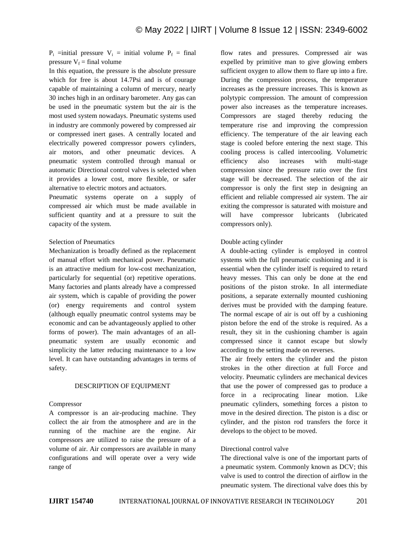$P_i$  =initial pressure  $V_i$  = initial volume  $P_f$  = final pressure  $V_f$  = final volume

In this equation, the pressure is the absolute pressure which for free is about 14.7Psi and is of courage capable of maintaining a column of mercury, nearly 30 inches high in an ordinary barometer. Any gas can be used in the pneumatic system but the air is the most used system nowadays. Pneumatic systems used in industry are commonly powered by compressed air or compressed inert gases. A centrally located and electrically powered compressor powers cylinders, air motors, and other pneumatic devices. A pneumatic system controlled through manual or automatic Directional control valves is selected when it provides a lower cost, more flexible, or safer alternative to electric motors and actuators.

Pneumatic systems operate on a supply of compressed air which must be made available in sufficient quantity and at a pressure to suit the capacity of the system.

#### Selection of Pneumatics

Mechanization is broadly defined as the replacement of manual effort with mechanical power. Pneumatic is an attractive medium for low-cost mechanization, particularly for sequential (or) repetitive operations. Many factories and plants already have a compressed air system, which is capable of providing the power (or) energy requirements and control system (although equally pneumatic control systems may be economic and can be advantageously applied to other forms of power). The main advantages of an allpneumatic system are usually economic and simplicity the latter reducing maintenance to a low level. It can have outstanding advantages in terms of safety.

#### DESCRIPTION OF EQUIPMENT

#### Compressor

A compressor is an air-producing machine. They collect the air from the atmosphere and are in the running of the machine are the engine. Air compressors are utilized to raise the pressure of a volume of air. Air compressors are available in many configurations and will operate over a very wide range of

flow rates and pressures. Compressed air was expelled by primitive man to give glowing embers sufficient oxygen to allow them to flare up into a fire. During the compression process, the temperature increases as the pressure increases. This is known as polytypic compression. The amount of compression power also increases as the temperature increases. Compressors are staged thereby reducing the temperature rise and improving the compression efficiency. The temperature of the air leaving each stage is cooled before entering the next stage. This cooling process is called intercooling. Volumetric efficiency also increases with multi-stage compression since the pressure ratio over the first stage will be decreased. The selection of the air compressor is only the first step in designing an efficient and reliable compressed air system. The air exiting the compressor is saturated with moisture and will have compressor lubricants (lubricated compressors only).

#### Double acting cylinder

A double-acting cylinder is employed in control systems with the full pneumatic cushioning and it is essential when the cylinder itself is required to retard heavy messes. This can only be done at the end positions of the piston stroke. In all intermediate positions, a separate externally mounted cushioning derives must be provided with the damping feature. The normal escape of air is out off by a cushioning piston before the end of the stroke is required. As a result, they sit in the cushioning chamber is again compressed since it cannot escape but slowly according to the setting made on reverses.

The air freely enters the cylinder and the piston strokes in the other direction at full Force and velocity. Pneumatic cylinders are mechanical devices that use the power of compressed gas to produce a force in a reciprocating linear motion. Like pneumatic cylinders, something forces a piston to move in the desired direction. The piston is a disc or cylinder, and the piston rod transfers the force it develops to the object to be moved.

#### Directional control valve

The directional valve is one of the important parts of a pneumatic system. Commonly known as DCV; this valve is used to control the direction of airflow in the pneumatic system. The directional valve does this by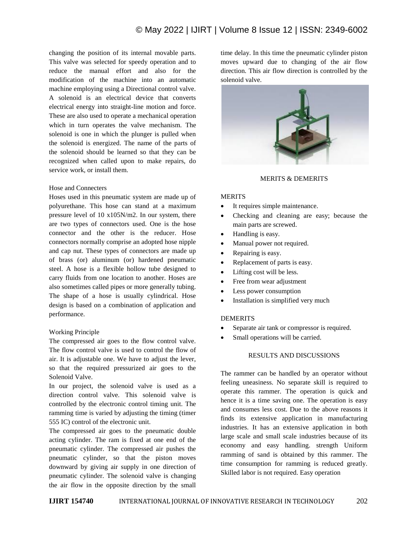changing the position of its internal movable parts. This valve was selected for speedy operation and to reduce the manual effort and also for the modification of the machine into an automatic machine employing using a Directional control valve. A solenoid is an electrical device that converts electrical energy into straight-line motion and force. These are also used to operate a mechanical operation which in turn operates the valve mechanism. The solenoid is one in which the plunger is pulled when the solenoid is energized. The name of the parts of the solenoid should be learned so that they can be recognized when called upon to make repairs, do service work, or install them.

#### Hose and Connecters

Hoses used in this pneumatic system are made up of polyurethane. This hose can stand at a maximum pressure level of 10 x105N/m2. In our system, there are two types of connectors used. One is the hose connector and the other is the reducer. Hose connectors normally comprise an adopted hose nipple and cap nut. These types of connectors are made up of brass (or) aluminum (or) hardened pneumatic steel. A hose is a flexible hollow tube designed to carry fluids from one location to another. Hoses are also sometimes called pipes or more generally tubing. The shape of a hose is usually cylindrical. Hose design is based on a combination of application and performance.

#### Working Principle

The compressed air goes to the flow control valve. The flow control valve is used to control the flow of air. It is adjustable one. We have to adjust the lever, so that the required pressurized air goes to the Solenoid Valve.

In our project, the solenoid valve is used as a direction control valve. This solenoid valve is controlled by the electronic control timing unit. The ramming time is varied by adjusting the timing (timer 555 IC) control of the electronic unit.

The compressed air goes to the pneumatic double acting cylinder. The ram is fixed at one end of the pneumatic cylinder. The compressed air pushes the pneumatic cylinder, so that the piston moves downward by giving air supply in one direction of pneumatic cylinder. The solenoid valve is changing the air flow in the opposite direction by the small time delay. In this time the pneumatic cylinder piston moves upward due to changing of the air flow direction. This air flow direction is controlled by the solenoid valve.



### MERITS & DEMERITS

### MERITS

- It requires simple maintenance.
- Checking and cleaning are easy; because the main parts are screwed.
- Handling is easy.
- Manual power not required.
- Repairing is easy.
- Replacement of parts is easy.
- Lifting cost will be less.
- Free from wear adjustment
- Less power consumption
- Installation is simplified very much

#### **DEMERITS**

- Separate air tank or compressor is required.
- Small operations will be carried.

## RESULTS AND DISCUSSIONS

The rammer can be handled by an operator without feeling uneasiness. No separate skill is required to operate this rammer. The operation is quick and hence it is a time saving one. The operation is easy and consumes less cost. Due to the above reasons it finds its extensive application in manufacturing industries. It has an extensive application in both large scale and small scale industries because of its economy and easy handling. strength Uniform ramming of sand is obtained by this rammer. The time consumption for ramming is reduced greatly. Skilled labor is not required. Easy operation